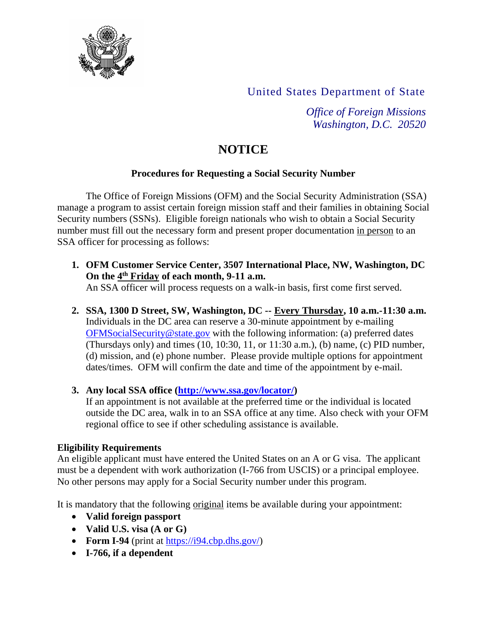

United States Department of State

*Office of Foreign Missions Washington, D.C. 20520*

# **NOTICE**

### **Procedures for Requesting a Social Security Number**

The Office of Foreign Missions (OFM) and the Social Security Administration (SSA) manage a program to assist certain foreign mission staff and their families in obtaining Social Security numbers (SSNs). Eligible foreign nationals who wish to obtain a Social Security number must fill out the necessary form and present proper documentation in person to an SSA officer for processing as follows:

- **1. OFM Customer Service Center, 3507 International Place, NW, Washington, DC On the 4 th Friday of each month, 9-11 a.m.** An SSA officer will process requests on a walk-in basis, first come first served.
- **2. SSA, 1300 D Street, SW, Washington, DC -- Every Thursday, 10 a.m.-11:30 a.m.**  Individuals in the DC area can reserve a 30-minute appointment by e-mailing [OFMSocialSecurity@state.gov](mailto:OFMSocialSecurity@state.gov) with the following information: (a) preferred dates (Thursdays only) and times (10, 10:30, 11, or 11:30 a.m.), (b) name, (c) PID number, (d) mission, and (e) phone number. Please provide multiple options for appointment dates/times. OFM will confirm the date and time of the appointment by e-mail.

### **3. Any local SSA office [\(http://www.ssa.gov/locator/\)](http://www.ssa.gov/locator/)**

If an appointment is not available at the preferred time or the individual is located outside the DC area, walk in to an SSA office at any time. Also check with your OFM regional office to see if other scheduling assistance is available.

#### **Eligibility Requirements**

An eligible applicant must have entered the United States on an A or G visa. The applicant must be a dependent with work authorization (I-766 from USCIS) or a principal employee. No other persons may apply for a Social Security number under this program.

It is mandatory that the following original items be available during your appointment:

- **Valid foreign passport**
- **Valid U.S. visa (A or G)**
- Form I-94 (print at [https://i94.cbp.dhs.gov/\)](https://i94.cbp.dhs.gov/)
- **I-766, if a dependent**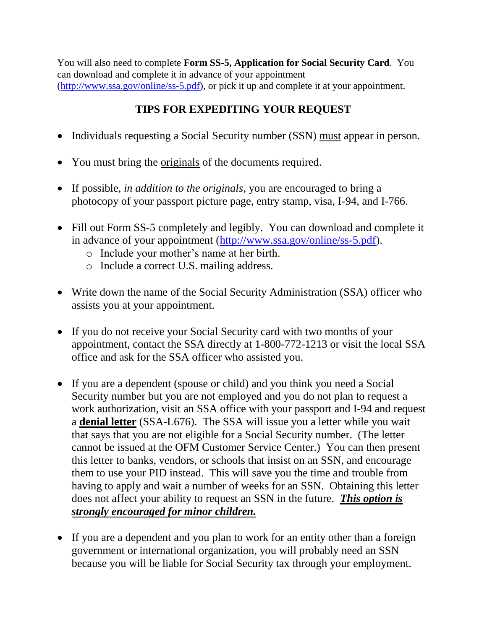You will also need to complete **Form SS-5, Application for Social Security Card**. You can download and complete it in advance of your appointment [\(http://www.ssa.gov/online/ss-5.pdf\)](http://www.ssa.gov/online/ss-5.pdf), or pick it up and complete it at your appointment.

## **TIPS FOR EXPEDITING YOUR REQUEST**

- Individuals requesting a Social Security number (SSN) must appear in person.
- You must bring the originals of the documents required.
- If possible, *in addition to the originals*, you are encouraged to bring a photocopy of your passport picture page, entry stamp, visa, I-94, and I-766.
- Fill out Form SS-5 completely and legibly. You can download and complete it in advance of your appointment [\(http://www.ssa.gov/online/ss-5.pdf\)](http://www.ssa.gov/online/ss-5.pdf).
	- o Include your mother's name at her birth.
	- o Include a correct U.S. mailing address.
- Write down the name of the Social Security Administration (SSA) officer who assists you at your appointment.
- If you do not receive your Social Security card with two months of your appointment, contact the SSA directly at 1-800-772-1213 or visit the local SSA office and ask for the SSA officer who assisted you.
- If you are a dependent (spouse or child) and you think you need a Social Security number but you are not employed and you do not plan to request a work authorization, visit an SSA office with your passport and I-94 and request a **denial letter** (SSA-L676). The SSA will issue you a letter while you wait that says that you are not eligible for a Social Security number. (The letter cannot be issued at the OFM Customer Service Center.) You can then present this letter to banks, vendors, or schools that insist on an SSN, and encourage them to use your PID instead. This will save you the time and trouble from having to apply and wait a number of weeks for an SSN. Obtaining this letter does not affect your ability to request an SSN in the future. *This option is strongly encouraged for minor children.*
- If you are a dependent and you plan to work for an entity other than a foreign government or international organization, you will probably need an SSN because you will be liable for Social Security tax through your employment.